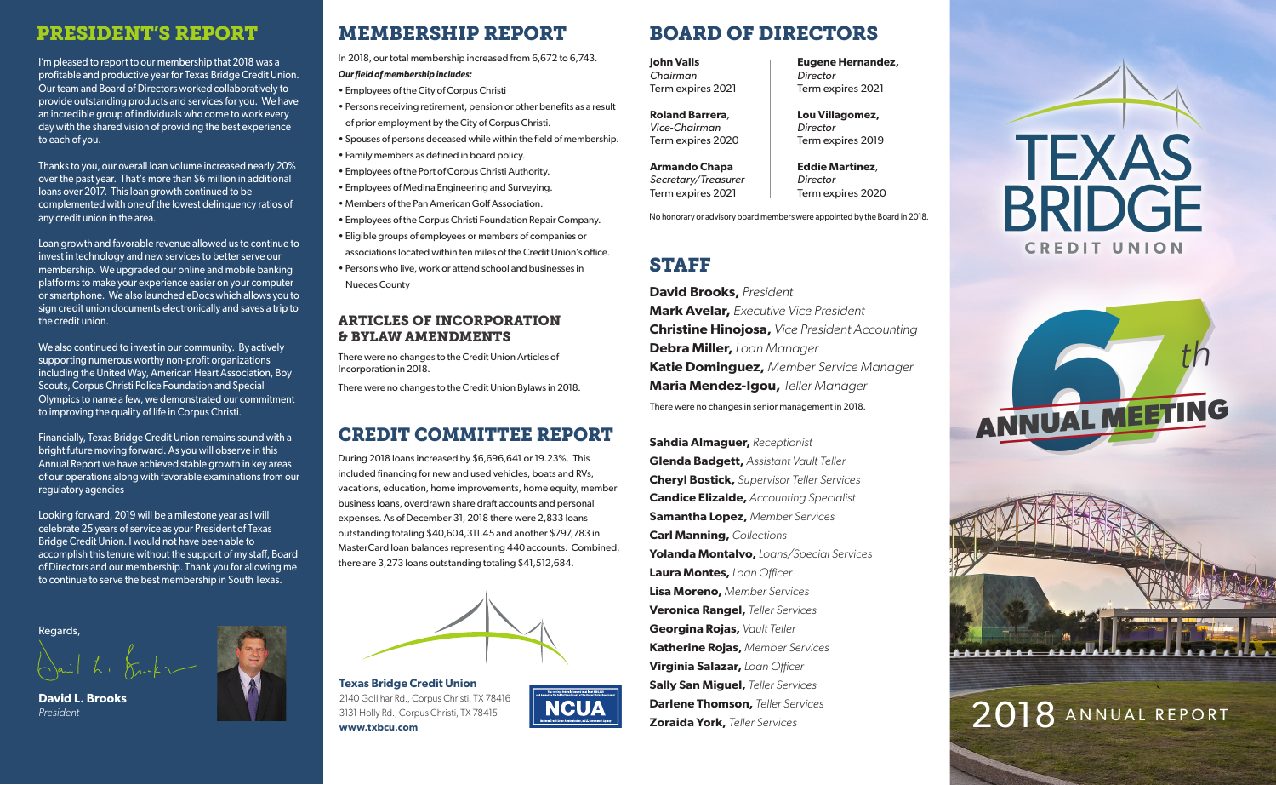### PRESIDENT'S REPORT

I'm pleased to report to our membership that 2018 was a profitable and productive year for Texas Bridge Credit Union. Our team and Board of Directors worked collaboratively to provide outstanding products and services for you. We have an incredible group of individuals who come to work every day with the shared vision of providing the best experience to each of you.

Thanks to you, our overall loan volume increased nearly 20% over the past year. That's more than \$6 million in additional loans over 2017. This loan growth continued to be complemented with one of the lowest delinquency ratios of any credit union in the area.

Loan growth and favorable revenue allowed us to continue to invest in technology and new services to better serve our membership. We upgraded our online and mobile banking platforms to make your experience easier on your computer or smartphone. We also launched eDocs which allows you to sign credit union documents electronically and saves a trip to the credit union.

We also continued to invest in our community. By actively supporting numerous worthy non-profit organizations including the United Way, American Heart Association, Boy Scouts, Corpus Christi Police Foundation and Special Olympics to name a few, we demonstrated our commitment to improving the quality of life in Corpus Christi.

Financially, Texas Bridge Credit Union remains sound with a bright future moving forward. As you will observe in this Annual Report we have achieved stable growth in key areas of our operations along with favorable examinations from our regulatory agencies

Looking forward, 2019 will be a milestone year as I will celebrate 25 years of service as your President of Texas Bridge Credit Union. I would not have been able to accomplish this tenure without the support of my staff, Board of Directors and our membership. Thank you for allowing me to continue to serve the best membership in South Texas.

Regards,

**David L. Brooks** *President*

# MEMBERSHIP REPORT BOARD OF DIRECTORS

In 2018, our total membership increased from 6,672 to 6,743. *Our field of membership includes:*

• Employees of the City of Corpus Christi • Persons receiving retirement, pension or other benefits as a result

- of prior employment by the City of Corpus Christi.
- Spouses of persons deceased while within the field of membership.
- Family members as defined in board policy.
- Employees of the Port of Corpus Christi Authority.
- Employees of Medina Engineering and Surveying.
- Members of the Pan American Golf Association.
- Employees of the Corpus Christi Foundation Repair Company.
- Eligible groups of employees or members of companies or associations located within ten miles of the Credit Union's office.
- Persons who live, work or attend school and businesses in Nueces County

### ARTICLES OF INCORPORATION & BYLAW AMENDMENTS

There were no changes to the Credit Union Articles of Incorporation in 2018.

There were no changes to the Credit Union Bylaws in 2018.

### CREDIT COMMITTEE REPORT

During 2018 loans increased by \$6,696,641 or 19.23%. This included financing for new and used vehicles, boats and RVs, vacations, education, home improvements, home equity, member business loans, overdrawn share draft accounts and personal expenses. As of December 31, 2018 there were 2,833 loans outstanding totaling \$40,604,311.45 and another \$797,783 in MasterCard loan balances representing 440 accounts. Combined, there are 3,273 loans outstanding totaling \$41,512,684.



**NCUA** 

**Texas Bridge Credit Union**  2140 Gollihar Rd., Corpus Christi, TX 78416 3131 Holly Rd., Corpus Christi, TX 78415 **www.txbcu.com**

**Eugene Hernandez,** 

Term expires 2021

**Lou Villagomez,**  *Director*

Term expires 2019

**Eddie Martinez***, Director*

*Director*

**John Valls** *Chairman* Term expires 2021

**Roland Barrera***, Vice-Chairman*  Term expires 2020

**Armando Chapa** *Secretary/Treasurer* Term expires 2021

Term expires 2020 No honorary or advisory board members were appointed by the Board in 2018.

## STAFF

**David Brooks,** *President* **Mark Avelar,** *Executive Vice President* **Christine Hinojosa,** *Vice President Accounting* **Debra Miller,** *Loan Manager* **Katie Dominguez,** *Member Service Manager* **Maria Mendez-Igou,** *Teller Manager* There were no changes in senior management in 2018.

**Sahdia Almaguer,** *Receptionist* **Glenda Badgett,** *Assistant Vault Teller* **Cheryl Bostick,** *Supervisor Teller Services* **Candice Elizalde,** *Accounting Specialist* **Samantha Lopez,** *Member Services* **Carl Manning,** *Collections* **Yolanda Montalvo,** *Loans/Special Services* **Laura Montes,** *Loan O*ffi*cer* **Lisa Moreno,** *Member Services* **Veronica Rangel,** *Teller Services* **Georgina Rojas,** *Vault Teller* **Katherine Rojas,** *Member Services* **Virginia Salazar,** *Loan O*ffi*cer* **Sally San Miguel,** *Teller Services* **Darlene Thomson,** *Teller Services* **Zoraida York,** *Teller Services*







# 2018 ANNUAL REPORT